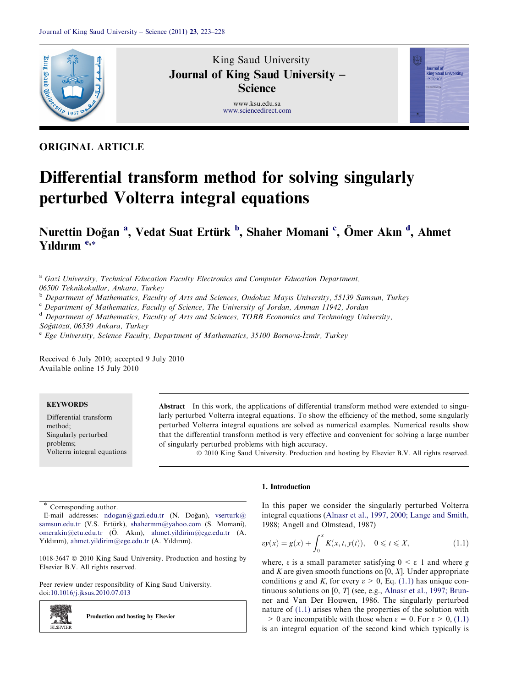

# King Saud University Journal of King Saud University – **Science**

www.ksu.edu.sa www.sciencedirect.com



# ORIGINAL ARTICLE

# Differential transform method for solving singularly perturbed Volterra integral equations

Nurettin Doğan <sup>a</sup>, Vedat Suat Ertürk <sup>b</sup>, Shaher Momani <sup>c</sup>, Ömer Akın <sup>d</sup>, Ahmet Yıldırım <sup>e,\*</sup>

<sup>a</sup> Gazi University, Technical Education Faculty Electronics and Computer Education Department,

06500 Teknikokullar, Ankara, Turkey

<sup>b</sup> Department of Mathematics, Faculty of Arts and Sciences, Ondokuz Mayıs University, 55139 Samsun, Turkey

<sup>c</sup> Department of Mathematics, Faculty of Science, The University of Jordan, Amman 11942, Jordan

<sup>d</sup> Department of Mathematics, Faculty of Arts and Sciences, TOBB Economics and Technology University, Söğütözü, 06530 Ankara, Turkey

 $e$  Ege University, Science Faculty, Department of Mathematics, 35100 Bornova-İzmir, Turkey

Received 6 July 2010; accepted 9 July 2010 Available online 15 July 2010

# **KEYWORDS**

Differential transform method; Singularly perturbed problems; Volterra integral equations

Abstract In this work, the applications of differential transform method were extended to singularly perturbed Volterra integral equations. To show the efficiency of the method, some singularly perturbed Volterra integral equations are solved as numerical examples. Numerical results show that the differential transform method is very effective and convenient for solving a large number of singularly perturbed problems with high accuracy.

ª 2010 King Saud University. Production and hosting by Elsevier B.V. All rights reserved.

Corresponding author.

2.SI **ELSEVIEE** 

E-mail addresses:  $n \text{dogan}(\partial \text{gazi.edu.tr}$  (N. Doğan), vserturk $(\partial \partial \text{gazi.edu.tr}$ samsun.edu.tr (V.S. Ertürk), shahermm@yahoo.com (S. Momani), omerakin@etu.edu.tr (O¨ . Akın), ahmet.yildirim@ege.edu.tr (A. Yıldırım), ahmet.yildirim@ege.edu.tr (A. Yıldırım).

1018-3647  $\odot$  2010 King Saud University. Production and hosting by Elsevier B.V. All rights reserved.

Peer review under responsibility of King Saud University. doi:10.1016/j.jksus.2010.07.013

Production and hosting by Elsevier

## 1. Introduction

In this paper we consider the singularly perturbed Volterra integral equations (Alnasr et al., 1997, 2000; Lange and Smith, 1988; Angell and Olmstead, 1987)

$$
\varepsilon y(x) = g(x) + \int_0^x K(x, t, y(t)), \quad 0 \leqslant t \leqslant X,
$$
\n(1.1)

where,  $\varepsilon$  is a small parameter satisfying  $0 \leq \varepsilon$  1 and where g and K are given smooth functions on  $[0, X]$ . Under appropriate conditions g and K, for every  $\varepsilon > 0$ , Eq. (1.1) has unique continuous solutions on [0, T] (see, e.g., Alnasr et al., 1997; Brunner and Van Der Houwen, 1986. The singularly perturbed nature of (1.1) arises when the properties of the solution with  $> 0$  are incompatible with those when  $\varepsilon = 0$ . For  $\varepsilon > 0$ , (1.1) is an integral equation of the second kind which typically is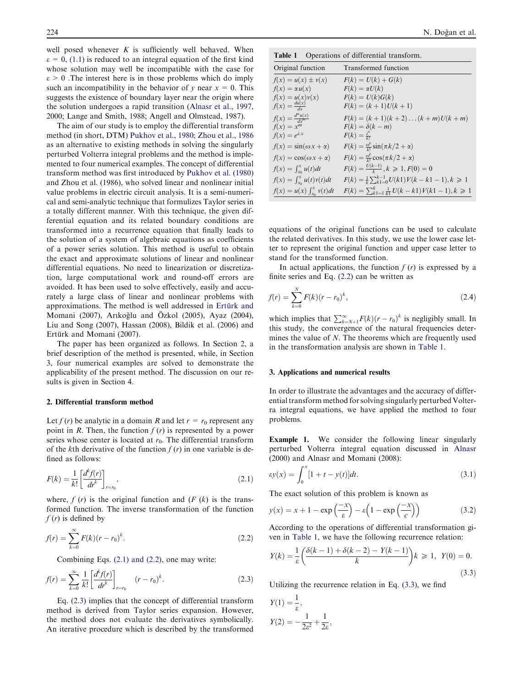well posed whenever  $K$  is sufficiently well behaved. When  $\varepsilon = 0$ , (1.1) is reduced to an integral equation of the first kind whose solution may well be incompatible with the case for  $\epsilon > 0$ . The interest here is in those problems which do imply such an incompatibility in the behavior of y near  $x = 0$ . This suggests the existence of boundary layer near the origin where the solution undergoes a rapid transition (Alnasr et al., 1997, 2000; Lange and Smith, 1988; Angell and Olmstead, 1987).

The aim of our study is to employ the differential transform method (in short, DTM) Pukhov et al., 1980; Zhou et al., 1986 as an alternative to existing methods in solving the singularly perturbed Volterra integral problems and the method is implemented to four numerical examples. The concept of differential transform method was first introduced by Pukhov et al. (1980) and Zhou et al. (1986), who solved linear and nonlinear initial value problems in electric circuit analysis. It is a semi-numerical and semi-analytic technique that formulizes Taylor series in a totally different manner. With this technique, the given differential equation and its related boundary conditions are transformed into a recurrence equation that finally leads to the solution of a system of algebraic equations as coefficients of a power series solution. This method is useful to obtain the exact and approximate solutions of linear and nonlinear differential equations. No need to linearization or discretization, large computational work and round-off errors are avoided. It has been used to solve effectively, easily and accurately a large class of linear and nonlinear problems with approximations. The method is well addressed in Ertürk and Momani (2007), Arıkoğlu and Özkol (2005), Ayaz (2004), Liu and Song (2007), Hassan (2008), Bildik et al. (2006) and Ertürk and Momani (2007).

The paper has been organized as follows. In Section 2, a brief description of the method is presented, while, in Section 3, four numerical examples are solved to demonstrate the applicability of the present method. The discussion on our results is given in Section 4.

#### 2. Differential transform method

Let  $f(r)$  be analytic in a domain R and let  $r = r_0$  represent any point in R. Then, the function  $f(r)$  is represented by a power series whose center is located at  $r_0$ . The differential transform of the kth derivative of the function  $f(r)$  in one variable is defined as follows:

$$
F(k) = \frac{1}{k!} \left[ \frac{d^k f(r)}{dr^k} \right]_{r=r_0},
$$
\n(2.1)

where,  $f(r)$  is the original function and  $(F (k))$  is the transformed function. The inverse transformation of the function  $f(r)$  is defined by

$$
f(r) = \sum_{k=0}^{\infty} F(k)(r - r_0)^k.
$$
 (2.2)

Combining Eqs. (2.1) and (2.2), one may write:

$$
f(r) = \sum_{k=0}^{\infty} \frac{1}{k!} \left[ \frac{d^k f(r)}{dr^k} \right]_{r=r_0} \quad (r - r_0)^k.
$$
 (2.3)

Eq. (2.3) implies that the concept of differential transform method is derived from Taylor series expansion. However, the method does not evaluate the derivatives symbolically. An iterative procedure which is described by the transformed

Table 1 Operations of differential transform.

| Original function                    | Transformed function                                             |
|--------------------------------------|------------------------------------------------------------------|
| $f(x) = u(x) \pm v(x)$               | $F(k) = U(k) + G(k)$                                             |
| $f(x) = \alpha u(x)$                 | $F(k) = \alpha U(k)$                                             |
| $f(x) = u(x)v(x)$                    | $F(k) = U(k)G(k)$                                                |
| $f(x) = \frac{du(x)}{dx}$            | $F(k) = (k+1)U(k+1)$                                             |
| $f(x) = \frac{d^m u(x)}{dx^m}$       | $F(k) = (k + 1)(k + 2) \dots (k + m)U(k + m)$                    |
| $f(x) = x^m$                         | $F(k) = \delta(k - m)$                                           |
| $f(x) = e^{\lambda x}$               | $F(k) = \frac{\lambda^k}{k!}$                                    |
| $f(x) = \sin(\omega x + \alpha)$     | $F(k) = \frac{\omega^k}{k!} \sin(\pi k/2 + \alpha)$              |
| $f(x) = \cos(\omega x + \alpha)$     | $F(k) = \frac{\omega^k}{k!} \cos(\pi k/2 + \alpha)$              |
| $f(x) = \int_{x_0}^x u(t) dt$        | $F(k) = \frac{U(k-1)}{k}, k \ge 1, F(0) = 0$                     |
| $f(x) = \int_{x_0}^{x} u(t)v(t)dt$   | $F(k) = \frac{1}{k} \sum_{k=1}^{k-1} U(k) V(k - k - 1), k \ge 1$ |
| $f(x) = u(x) \int_{x_0}^{x} v(t) dt$ | $F(k) = \sum_{k=1}^{k} \frac{1}{k!} U(k - k!) V(k - 1), k \ge 1$ |

equations of the original functions can be used to calculate the related derivatives. In this study, we use the lower case letter to represent the original function and upper case letter to stand for the transformed function.

In actual applications, the function  $f(r)$  is expressed by a finite series and Eq. (2.2) can be written as

$$
f(r) = \sum_{k=0}^{N} F(k)(r - r_0)^k,
$$
\n(2.4)

which implies that  $\sum_{k=N+1}^{\infty} F(k)(r - r_0)^k$  is negligibly small. In this study, the convergence of the natural frequencies determines the value of N. The theorems which are frequently used in the transformation analysis are shown in Table 1.

#### 3. Applications and numerical results

In order to illustrate the advantages and the accuracy of differential transform method for solving singularly perturbed Volterra integral equations, we have applied the method to four problems.

Example 1. We consider the following linear singularly perturbed Volterra integral equation discussed in Alnasr (2000) and Alnasr and Momani (2008):

$$
\varepsilon y(x) = \int_0^x [1 + t - y(t)] dt.
$$
 (3.1)

The exact solution of this problem is known as

$$
y(x) = x + 1 - \exp\left(\frac{-x}{\varepsilon}\right) - \varepsilon \left(1 - \exp\left(\frac{-x}{c}\right)\right) \tag{3.2}
$$

According to the operations of differential transformation given in Table 1, we have the following recurrence relation:

$$
Y(k) = \frac{1}{\varepsilon} \left( \frac{\delta(k-1) + \delta(k-2) - Y(k-1)}{k} \right) k \ge 1, \ Y(0) = 0.
$$
\n(3.3)

Utilizing the recurrence relation in Eq. (3.3), we find

$$
Y(1) = \frac{1}{\varepsilon},
$$
  

$$
Y(2) = -\frac{1}{2\varepsilon^2} + \frac{1}{2\varepsilon}
$$

;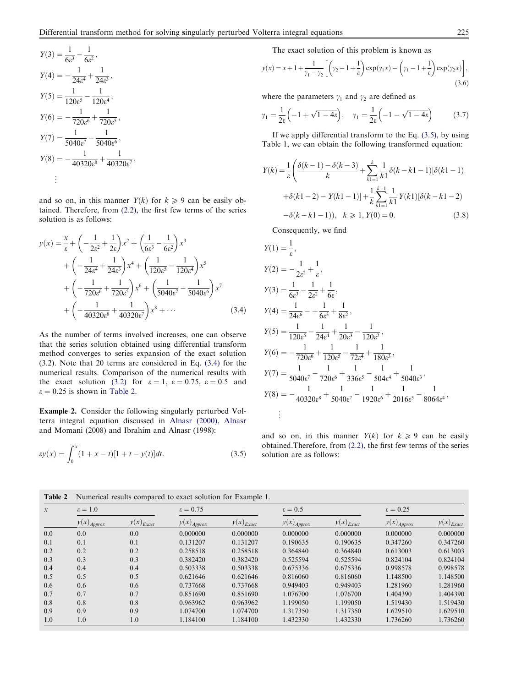$$
Y(3) = \frac{1}{6\varepsilon^3} - \frac{1}{6\varepsilon^2},
$$
  
\n
$$
Y(4) = -\frac{1}{24\varepsilon^4} + \frac{1}{24\varepsilon^3},
$$
  
\n
$$
Y(5) = \frac{1}{120\varepsilon^5} - \frac{1}{120\varepsilon^4},
$$
  
\n
$$
Y(6) = -\frac{1}{720\varepsilon^6} + \frac{1}{720\varepsilon^5},
$$
  
\n
$$
Y(7) = \frac{1}{5040\varepsilon^7} - \frac{1}{5040\varepsilon^6},
$$
  
\n
$$
Y(8) = -\frac{1}{40320\varepsilon^8} + \frac{1}{40320\varepsilon^7},
$$
  
\n...

and so on, in this manner  $Y(k)$  for  $k \geq 9$  can be easily obtained. Therefore, from (2.2), the first few terms of the series solution is as follows:

$$
y(x) = \frac{x}{\varepsilon} + \left( -\frac{1}{2\varepsilon^2} + \frac{1}{2\varepsilon} \right) x^2 + \left( \frac{1}{6\varepsilon^3} - \frac{1}{6\varepsilon^2} \right) x^3 + \left( -\frac{1}{24\varepsilon^4} + \frac{1}{24\varepsilon^3} \right) x^4 + \left( \frac{1}{120\varepsilon^5} - \frac{1}{120\varepsilon^4} \right) x^5 + \left( -\frac{1}{720\varepsilon^6} + \frac{1}{720\varepsilon^5} \right) x^6 + \left( \frac{1}{5040\varepsilon^7} - \frac{1}{5040\varepsilon^6} \right) x^7 + \left( -\frac{1}{40320\varepsilon^8} + \frac{1}{40320\varepsilon^7} \right) x^8 + \cdots
$$
 (3.4)

As the number of terms involved increases, one can observe that the series solution obtained using differential transform method converges to series expansion of the exact solution (3.2). Note that 20 terms are considered in Eq. (3.4) for the numerical results. Comparison of the numerical results with the exact solution (3.2) for  $\varepsilon = 1$ ,  $\varepsilon = 0.75$ ,  $\varepsilon = 0.5$  and  $\varepsilon = 0.25$  is shown in Table 2.

Example 2. Consider the following singularly perturbed Volterra integral equation discussed in Alnasr (2000), Alnasr and Momani (2008) and Ibrahim and Alnasr (1998):

$$
\varepsilon y(x) = \int_0^x (1 + x - t)[1 + t - y(t)]dt.
$$
\n(3.5)

The exact solution of this problem is known as

$$
y(x) = x + 1 + \frac{1}{\gamma_1 - \gamma_2} \left[ \left( \gamma_2 - 1 + \frac{1}{\varepsilon} \right) \exp(\gamma_1 x) - \left( \gamma_1 - 1 + \frac{1}{\varepsilon} \right) \exp(\gamma_2 x) \right],
$$
\n(3.6)

where the parameters  $\gamma_1$  and  $\gamma_2$  are defined as

$$
\gamma_1 = \frac{1}{2\varepsilon} \left( -1 + \sqrt{1 - 4\varepsilon} \right), \quad \gamma_1 = \frac{1}{2\varepsilon} \left( -1 - \sqrt{1 - 4\varepsilon} \right) \tag{3.7}
$$

If we apply differential transform to the Eq. (3.5), by using Table 1, we can obtain the following transformed equation:

$$
Y(k) = \frac{1}{\varepsilon} \left( \frac{\delta(k-1) - \delta(k-3)}{k} + \sum_{k=1}^{k} \frac{1}{k!} \delta(k-k-1) [\delta(k-1) - \delta(k-2) - Y(k-1)] \right) + \frac{1}{k} \sum_{k=1}^{k-1} \frac{1}{k!} Y(k) [\delta(k-k-2) - \delta(k-k-1)] + \frac{1}{k} \sum_{k=1}^{k-1} \frac{1}{k!} Y(k) [\delta(k-k-1) - \delta(k-k-1)] + \frac{1}{k} \sum_{k=1}^{k-1} \frac{1}{k!} Y(k) [\delta(k-k-1) - \delta(k-k-1)] \tag{3.8}
$$

Consequently, we find

$$
Y(1) = \frac{1}{\varepsilon},
$$
  
\n
$$
Y(2) = -\frac{1}{2\varepsilon^2} + \frac{1}{\varepsilon},
$$
  
\n
$$
Y(3) = \frac{1}{6\varepsilon^3} - \frac{1}{2\varepsilon^2} + \frac{1}{6\varepsilon},
$$
  
\n
$$
Y(4) = \frac{1}{24\varepsilon^6} - \frac{1}{6\varepsilon^3} + \frac{1}{8\varepsilon^2},
$$
  
\n
$$
Y(5) = \frac{1}{120\varepsilon^5} - \frac{1}{24\varepsilon^4} + \frac{1}{20\varepsilon^3} - \frac{1}{120\varepsilon^2},
$$
  
\n
$$
Y(6) = -\frac{1}{720\varepsilon^6} + \frac{1}{120\varepsilon^5} - \frac{1}{72\varepsilon^4} + \frac{1}{180\varepsilon^3},
$$
  
\n
$$
Y(7) = \frac{1}{5040\varepsilon^7} - \frac{1}{720\varepsilon^6} + \frac{1}{336\varepsilon^5} - \frac{1}{504\varepsilon^4} + \frac{1}{5040\varepsilon^3},
$$
  
\n
$$
Y(8) = -\frac{1}{40320\varepsilon^8} + \frac{1}{5040\varepsilon^7} - \frac{1}{1920\varepsilon^6} + \frac{1}{2016\varepsilon^5} - \frac{1}{8064\varepsilon^4},
$$
  
\n
$$
\vdots
$$

and so on, in this manner  $Y(k)$  for  $k \geq 9$  can be easily obtained.Therefore, from (2.2), the first few terms of the series solution are as follows:

| $\mathcal{X}$ | $\epsilon=1.0$           |                | $\epsilon = 0.75$        |                | $\epsilon = 0.5$         |                | $\epsilon = 0.25$        |                |
|---------------|--------------------------|----------------|--------------------------|----------------|--------------------------|----------------|--------------------------|----------------|
|               | $y(x)$ <sub>Approx</sub> | $y(x)_{Exact}$ | $y(x)$ <sub>Approx</sub> | $y(x)_{Exact}$ | $y(x)$ <sub>Approx</sub> | $y(x)_{Exact}$ | $y(x)$ <sub>Approx</sub> | $y(x)_{Exact}$ |
| 0.0           | 0.0                      | 0.0            | 0.000000                 | 0.000000       | 0.000000                 | 0.000000       | 0.000000                 | 0.000000       |
| 0.1           | 0.1                      | 0.1            | 0.131207                 | 0.131207       | 0.190635                 | 0.190635       | 0.347260                 | 0.347260       |
| 0.2           | 0.2                      | 0.2            | 0.258518                 | 0.258518       | 0.364840                 | 0.364840       | 0.613003                 | 0.613003       |
| 0.3           | 0.3                      | 0.3            | 0.382420                 | 0.382420       | 0.525594                 | 0.525594       | 0.824104                 | 0.824104       |
| 0.4           | 0.4                      | 0.4            | 0.503338                 | 0.503338       | 0.675336                 | 0.675336       | 0.998578                 | 0.998578       |
| 0.5           | 0.5                      | 0.5            | 0.621646                 | 0.621646       | 0.816060                 | 0.816060       | 1.148500                 | 1.148500       |
| 0.6           | 0.6                      | 0.6            | 0.737668                 | 0.737668       | 0.949403                 | 0.949403       | 1.281960                 | 1.281960       |
| 0.7           | 0.7                      | 0.7            | 0.851690                 | 0.851690       | 1.076700                 | 1.076700       | 1.404390                 | 1.404390       |
| 0.8           | 0.8                      | 0.8            | 0.963962                 | 0.963962       | 1.199050                 | 1.199050       | 1.519430                 | 1.519430       |
| 0.9           | 0.9                      | 0.9            | 1.074700                 | 1.074700       | 1.317350                 | 1.317350       | 1.629510                 | 1.629510       |
| 1.0           | 1.0                      | 1.0            | 1.184100                 | 1.184100       | 1.432330                 | 1.432330       | 1.736260                 | 1.736260       |

Table 2 Numerical results compared to exact solution for Example 1.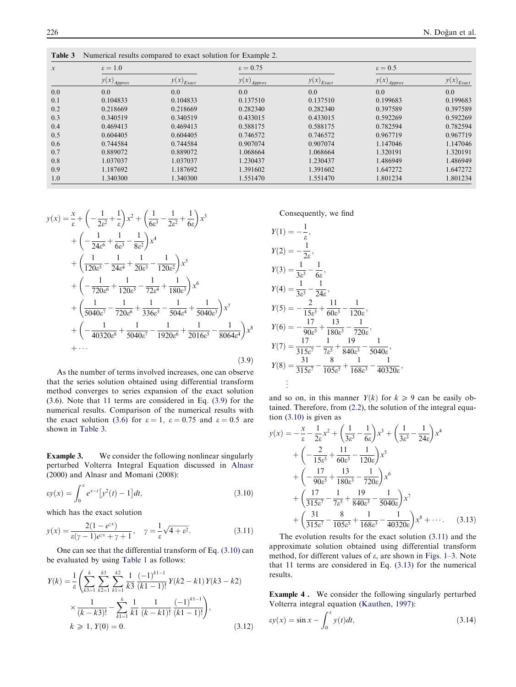| $\boldsymbol{x}$ | $\epsilon = 1.0$         |                | $\epsilon = 0.75$        |                | $\epsilon = 0.5$         |                |
|------------------|--------------------------|----------------|--------------------------|----------------|--------------------------|----------------|
|                  | $y(x)$ <sub>Approx</sub> | $y(x)_{Exact}$ | $y(x)$ <sub>Approx</sub> | $y(x)_{Exact}$ | $y(x)$ <sub>Approx</sub> | $y(x)_{Exact}$ |
| 0.0              | 0.0                      | 0.0            | 0.0                      | 0.0            | 0.0                      | 0.0            |
| 0.1              | 0.104833                 | 0.104833       | 0.137510                 | 0.137510       | 0.199683                 | 0.199683       |
| 0.2              | 0.218669                 | 0.218669       | 0.282340                 | 0.282340       | 0.397589                 | 0.397589       |
| 0.3              | 0.340519                 | 0.340519       | 0.433015                 | 0.433015       | 0.592269                 | 0.592269       |
| 0.4              | 0.469413                 | 0.469413       | 0.588175                 | 0.588175       | 0.782594                 | 0.782594       |
| 0.5              | 0.604405                 | 0.604405       | 0.746572                 | 0.746572       | 0.967719                 | 0.967719       |
| 0.6              | 0.744584                 | 0.744584       | 0.907074                 | 0.907074       | 1.147046                 | 1.147046       |
| 0.7              | 0.889072                 | 0.889072       | 1.068664                 | 1.068664       | 1.320191                 | 1.320191       |
| 0.8              | 1.037037                 | 1.037037       | 1.230437                 | 1.230437       | 1.486949                 | 1.486949       |
| 0.9              | 1.187692                 | 1.187692       | 1.391602                 | 1.391602       | 1.647272                 | 1.647272       |
| 1.0              | 1.340300                 | 1.340300       | 1.551470                 | 1.551470       | 1.801234                 | 1.801234       |

Table 3 Numerical results compared to exact solution for Example 2.

$$
y(x) = \frac{x}{\varepsilon} + \left( -\frac{1}{2\varepsilon^2} + \frac{1}{\varepsilon} \right) x^2 + \left( \frac{1}{6\varepsilon^3} - \frac{1}{2\varepsilon^2} + \frac{1}{6\varepsilon} \right) x^3
$$
  
+ 
$$
\left( -\frac{1}{24\varepsilon^6} + \frac{1}{6\varepsilon^3} - \frac{1}{8\varepsilon^2} \right) x^4
$$
  
+ 
$$
\left( \frac{1}{120\varepsilon^5} - \frac{1}{24\varepsilon^4} + \frac{1}{20\varepsilon^3} - \frac{1}{120\varepsilon^2} \right) x^5
$$
  
+ 
$$
\left( -\frac{1}{720\varepsilon^6} + \frac{1}{120\varepsilon^5} - \frac{1}{72\varepsilon^4} + \frac{1}{180\varepsilon^3} \right) x^6
$$
  
+ 
$$
\left( \frac{1}{5040\varepsilon^7} - \frac{1}{720\varepsilon^6} + \frac{1}{336\varepsilon^5} - \frac{1}{504\varepsilon^4} + \frac{1}{5040\varepsilon^3} \right) x^7
$$
  
+ 
$$
\left( -\frac{1}{40320\varepsilon^8} + \frac{1}{5040\varepsilon^7} - \frac{1}{1920\varepsilon^6} + \frac{1}{2016\varepsilon^5} - \frac{1}{8064\varepsilon^4} \right) x^8
$$
  
+ ... (3.9)

As the number of terms involved increases, one can observe that the series solution obtained using differential transform method converges to series expansion of the exact solution (3.6). Note that 11 terms are considered in Eq. (3.9) for the numerical results. Comparison of the numerical results with the exact solution (3.6) for  $\varepsilon = 1$ ,  $\varepsilon = 0.75$  and  $\varepsilon = 0.5$  are shown in Table 3.

Example 3. We consider the following nonlinear singularly perturbed Volterra Integral Equation discussed in Alnasr (2000) and Alnasr and Momani (2008):

$$
\varepsilon y(x) = \int_0^x e^{x-t} \left[ y^2(t) - 1 \right] dt,\tag{3.10}
$$

which has the exact solution

$$
y(x) = \frac{2(1 - e^{\gamma x})}{\varepsilon(\gamma - 1)e^{\gamma x} + \gamma + 1}, \quad \gamma = \frac{1}{\varepsilon}\sqrt{4 + \varepsilon^2}.
$$
 (3.11)

One can see that the differential transform of Eq. (3.10) can be evaluated by using Table 1 as follows:

$$
Y(k) = \frac{1}{\varepsilon} \left( \sum_{k3=1}^{k} \sum_{k2=1}^{k3} \sum_{k1=1}^{k2} \frac{1}{k3} \frac{(-1)^{k1-1}}{(k1-1)!} Y(k2 - k1) Y(k3 - k2) \right)
$$
  
 
$$
\times \frac{1}{(k - k3)!} - \sum_{k1=1}^{k} \frac{1}{k1} \frac{1}{(k - k1)!} \frac{(-1)^{k1-1}}{(k1-1)!} \right),
$$
  
  $k \ge 1, Y(0) = 0.$  (3.12)

Consequently, we find

$$
Y(1) = -\frac{1}{\varepsilon},
$$
  
\n
$$
Y(2) = -\frac{1}{2\varepsilon},
$$
  
\n
$$
Y(3) = \frac{1}{3\varepsilon^3} - \frac{1}{6\varepsilon},
$$
  
\n
$$
Y(4) = \frac{1}{3\varepsilon^3} - \frac{1}{24\varepsilon},
$$
  
\n
$$
Y(5) = -\frac{2}{15\varepsilon^5} + \frac{11}{60\varepsilon^3} - \frac{1}{120\varepsilon},
$$
  
\n
$$
Y(6) = -\frac{17}{90\varepsilon^5} + \frac{13}{180\varepsilon^3} - \frac{1}{720\varepsilon},
$$
  
\n
$$
Y(7) = \frac{17}{315\varepsilon^7} - \frac{1}{7\varepsilon^5} + \frac{19}{840\varepsilon^3} - \frac{1}{5040\varepsilon},
$$
  
\n
$$
Y(8) = \frac{31}{315\varepsilon^7} - \frac{8}{105\varepsilon^5} + \frac{1}{168\varepsilon^3} - \frac{1}{40320\varepsilon},
$$
  
\n
$$
\vdots
$$

and so on, in this manner  $Y(k)$  for  $k \geq 9$  can be easily obtained. Therefore, from (2.2), the solution of the integral equation (3.10) is given as

$$
y(x) = -\frac{x}{\varepsilon} - \frac{1}{2\varepsilon}x^2 + \left(\frac{1}{3\varepsilon^3} - \frac{1}{6\varepsilon}\right)x^3 + \left(\frac{1}{3\varepsilon^3} - \frac{1}{24\varepsilon}\right)x^4
$$
  
+ 
$$
\left(-\frac{2}{15\varepsilon^5} + \frac{11}{60\varepsilon^3} - \frac{1}{120\varepsilon}\right)x^5
$$
  
+ 
$$
\left(-\frac{17}{90\varepsilon^5} + \frac{13}{180\varepsilon^3} - \frac{1}{720\varepsilon}\right)x^6
$$
  
+ 
$$
\left(\frac{17}{315\varepsilon^7} - \frac{1}{7\varepsilon^5} + \frac{19}{840\varepsilon^3} - \frac{1}{5040\varepsilon}\right)x^7
$$
  
+ 
$$
\left(\frac{31}{315\varepsilon^7} - \frac{8}{105\varepsilon^5} + \frac{1}{168\varepsilon^3} - \frac{1}{40320\varepsilon}\right)x^8 + \cdots
$$
 (3.13)

The evolution results for the exact solution (3.11) and the approximate solution obtained using differential transform method, for different values of  $\varepsilon$ , are shown in Figs. 1–3. Note that 11 terms are considered in Eq. (3.13) for the numerical results.

Example 4 . We consider the following singularly perturbed Volterra integral equation (Kauthen, 1997):

$$
\varepsilon y(x) = \sin x - \int_0^x y(t)dt,
$$
\n(3.14)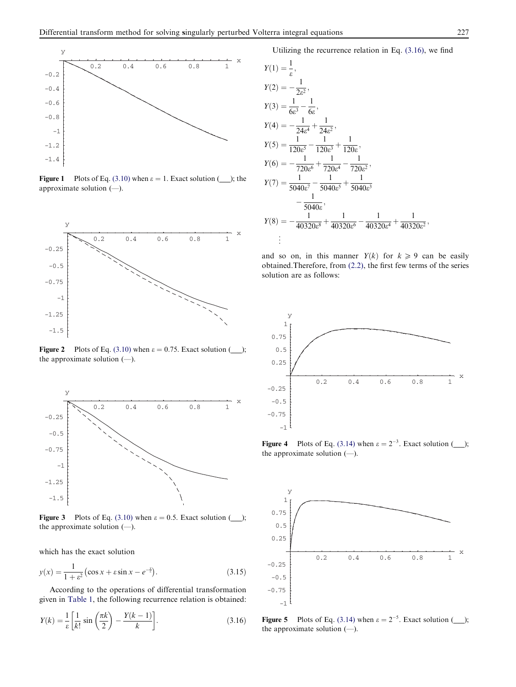

**Figure 1** Plots of Eq. (3.10) when  $\varepsilon = 1$ . Exact solution (\_\_\_); the approximate solution (—).



Figure 2 Plots of Eq. (3.10) when  $\varepsilon = 0.75$ . Exact solution (\_\_\_); the approximate solution (—).



Figure 3 Plots of Eq. (3.10) when  $\varepsilon = 0.5$ . Exact solution (\_\_\_); the approximate solution (—).

which has the exact solution

$$
y(x) = \frac{1}{1 + \varepsilon^2} \left( \cos x + \varepsilon \sin x - e^{-\frac{x}{\varepsilon}} \right).
$$
 (3.15)

According to the operations of differential transformation given in Table 1, the following recurrence relation is obtained:

$$
Y(k) = \frac{1}{\varepsilon} \left[ \frac{1}{k!} \sin \left( \frac{\pi k}{2} \right) - \frac{Y(k-1)}{k} \right].
$$
 (3.16)

Utilizing the recurrence relation in Eq. (3.16), we find

$$
Y(1) = \frac{1}{\varepsilon},
$$
  
\n
$$
Y(2) = -\frac{1}{2\varepsilon^{2}},
$$
  
\n
$$
Y(3) = \frac{1}{6\varepsilon^{3}} - \frac{1}{6\varepsilon},
$$
  
\n
$$
Y(4) = -\frac{1}{24\varepsilon^{4}} + \frac{1}{24\varepsilon^{2}},
$$
  
\n
$$
Y(5) = \frac{1}{120\varepsilon^{5}} - \frac{1}{120\varepsilon^{3}} + \frac{1}{120\varepsilon},
$$
  
\n
$$
Y(6) = -\frac{1}{720\varepsilon^{6}} + \frac{1}{720\varepsilon^{4}} - \frac{1}{720\varepsilon^{2}},
$$
  
\n
$$
Y(7) = \frac{1}{5040\varepsilon^{7}} - \frac{1}{5040\varepsilon^{5}} + \frac{1}{5040\varepsilon^{3}} - \frac{1}{5040\varepsilon^{3}},
$$
  
\n
$$
Y(8) = -\frac{1}{40320\varepsilon^{8}} + \frac{1}{40320\varepsilon^{6}} - \frac{1}{40320\varepsilon^{4}} + \frac{1}{40320\varepsilon^{2}},
$$
  
\n
$$
\vdots
$$

and so on, in this manner  $Y(k)$  for  $k \geq 9$  can be easily obtained.Therefore, from (2.2), the first few terms of the series solution are as follows:



Figure 4 Plots of Eq. (3.14) when  $\varepsilon = 2^{-3}$ . Exact solution (\_\_\_); the approximate solution (—).



**Figure 5** Plots of Eq. (3.14) when  $\varepsilon = 2^{-5}$ . Exact solution (\_\_\_); the approximate solution  $(-)$ .